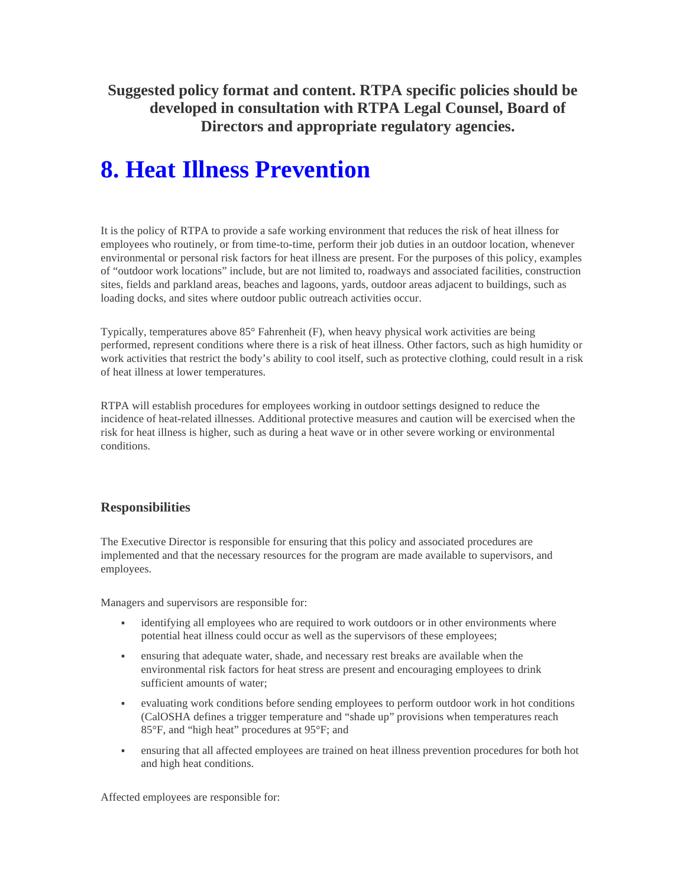**Suggested policy format and content. RTPA specific policies should be developed in consultation with RTPA Legal Counsel, Board of Directors and appropriate regulatory agencies.** 

# **8. Heat Illness Prevention**

It is the policy of RTPA to provide a safe working environment that reduces the risk of heat illness for employees who routinely, or from time-to-time, perform their job duties in an outdoor location, whenever environmental or personal risk factors for heat illness are present. For the purposes of this policy, examples of "outdoor work locations" include, but are not limited to, roadways and associated facilities, construction sites, fields and parkland areas, beaches and lagoons, yards, outdoor areas adjacent to buildings, such as loading docks, and sites where outdoor public outreach activities occur.

Typically, temperatures above 85° Fahrenheit (F), when heavy physical work activities are being performed, represent conditions where there is a risk of heat illness. Other factors, such as high humidity or work activities that restrict the body's ability to cool itself, such as protective clothing, could result in a risk of heat illness at lower temperatures.

RTPA will establish procedures for employees working in outdoor settings designed to reduce the incidence of heat-related illnesses. Additional protective measures and caution will be exercised when the risk for heat illness is higher, such as during a heat wave or in other severe working or environmental conditions.

# **Responsibilities**

The Executive Director is responsible for ensuring that this policy and associated procedures are implemented and that the necessary resources for the program are made available to supervisors, and employees.

Managers and supervisors are responsible for:

- identifying all employees who are required to work outdoors or in other environments where potential heat illness could occur as well as the supervisors of these employees;
- ensuring that adequate water, shade, and necessary rest breaks are available when the environmental risk factors for heat stress are present and encouraging employees to drink sufficient amounts of water;
- evaluating work conditions before sending employees to perform outdoor work in hot conditions (CalOSHA defines a trigger temperature and "shade up" provisions when temperatures reach 85°F, and "high heat" procedures at 95°F; and
- ensuring that all affected employees are trained on heat illness prevention procedures for both hot and high heat conditions.

Affected employees are responsible for: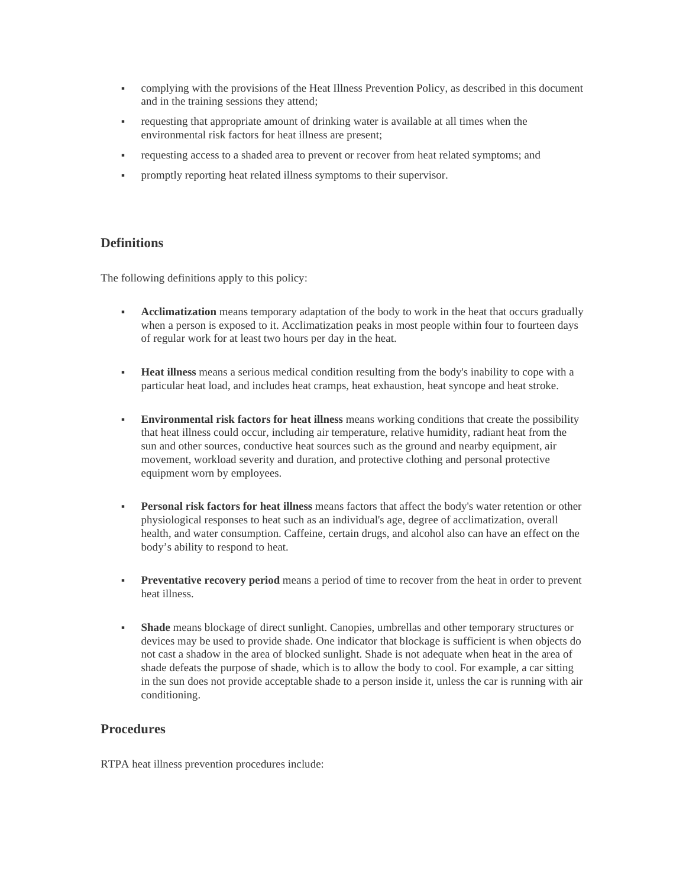- complying with the provisions of the Heat Illness Prevention Policy, as described in this document and in the training sessions they attend;
- requesting that appropriate amount of drinking water is available at all times when the environmental risk factors for heat illness are present;
- requesting access to a shaded area to prevent or recover from heat related symptoms; and
- promptly reporting heat related illness symptoms to their supervisor.

## **Definitions**

The following definitions apply to this policy:

- **Acclimatization** means temporary adaptation of the body to work in the heat that occurs gradually when a person is exposed to it. Acclimatization peaks in most people within four to fourteen days of regular work for at least two hours per day in the heat.
- **Heat illness** means a serious medical condition resulting from the body's inability to cope with a particular heat load, and includes heat cramps, heat exhaustion, heat syncope and heat stroke.
- **Environmental risk factors for heat illness** means working conditions that create the possibility that heat illness could occur, including air temperature, relative humidity, radiant heat from the sun and other sources, conductive heat sources such as the ground and nearby equipment, air movement, workload severity and duration, and protective clothing and personal protective equipment worn by employees.
- **Personal risk factors for heat illness** means factors that affect the body's water retention or other physiological responses to heat such as an individual's age, degree of acclimatization, overall health, and water consumption. Caffeine, certain drugs, and alcohol also can have an effect on the body's ability to respond to heat.
- **Preventative recovery period** means a period of time to recover from the heat in order to prevent heat illness.
- **Shade** means blockage of direct sunlight. Canopies, umbrellas and other temporary structures or devices may be used to provide shade. One indicator that blockage is sufficient is when objects do not cast a shadow in the area of blocked sunlight. Shade is not adequate when heat in the area of shade defeats the purpose of shade, which is to allow the body to cool. For example, a car sitting in the sun does not provide acceptable shade to a person inside it, unless the car is running with air conditioning.

# **Procedures**

RTPA heat illness prevention procedures include: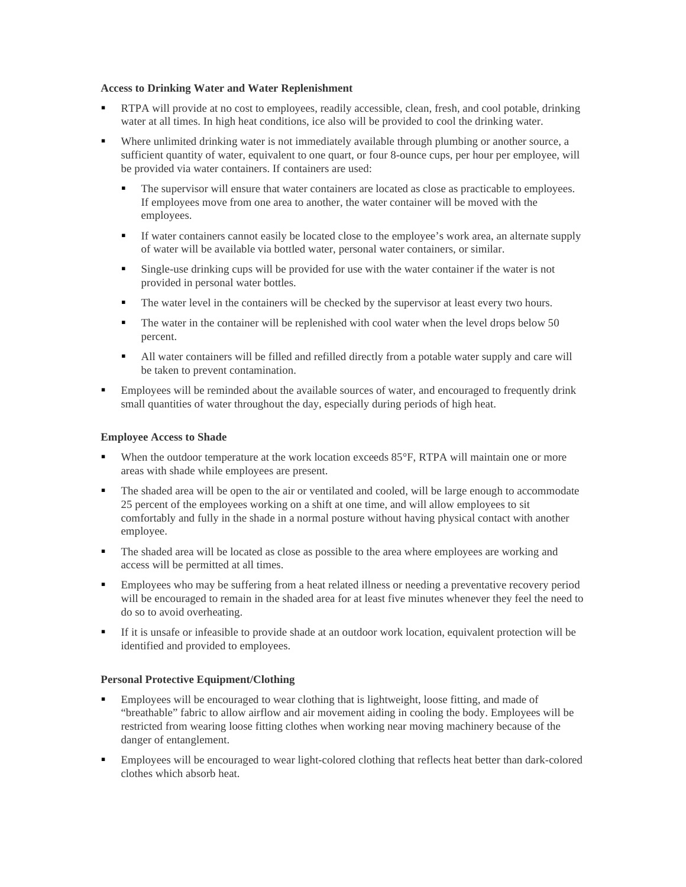#### **Access to Drinking Water and Water Replenishment**

- RTPA will provide at no cost to employees, readily accessible, clean, fresh, and cool potable, drinking water at all times. In high heat conditions, ice also will be provided to cool the drinking water.
- Where unlimited drinking water is not immediately available through plumbing or another source, a sufficient quantity of water, equivalent to one quart, or four 8-ounce cups, per hour per employee, will be provided via water containers. If containers are used:
	- The supervisor will ensure that water containers are located as close as practicable to employees. If employees move from one area to another, the water container will be moved with the employees.
	- If water containers cannot easily be located close to the employee's work area, an alternate supply of water will be available via bottled water, personal water containers, or similar.
	- Single-use drinking cups will be provided for use with the water container if the water is not provided in personal water bottles.
	- The water level in the containers will be checked by the supervisor at least every two hours.
	- The water in the container will be replenished with cool water when the level drops below 50 percent.
	- All water containers will be filled and refilled directly from a potable water supply and care will be taken to prevent contamination.
- **Employees will be reminded about the available sources of water, and encouraged to frequently drink** small quantities of water throughout the day, especially during periods of high heat.

#### **Employee Access to Shade**

- When the outdoor temperature at the work location exceeds  $85^{\circ}F$ , RTPA will maintain one or more areas with shade while employees are present.
- The shaded area will be open to the air or ventilated and cooled, will be large enough to accommodate 25 percent of the employees working on a shift at one time, and will allow employees to sit comfortably and fully in the shade in a normal posture without having physical contact with another employee.
- The shaded area will be located as close as possible to the area where employees are working and access will be permitted at all times.
- Employees who may be suffering from a heat related illness or needing a preventative recovery period will be encouraged to remain in the shaded area for at least five minutes whenever they feel the need to do so to avoid overheating.
- If it is unsafe or infeasible to provide shade at an outdoor work location, equivalent protection will be identified and provided to employees.

#### **Personal Protective Equipment/Clothing**

- **Employees will be encouraged to wear clothing that is lightweight, loose fitting, and made of** "breathable" fabric to allow airflow and air movement aiding in cooling the body. Employees will be restricted from wearing loose fitting clothes when working near moving machinery because of the danger of entanglement.
- Employees will be encouraged to wear light-colored clothing that reflects heat better than dark-colored clothes which absorb heat.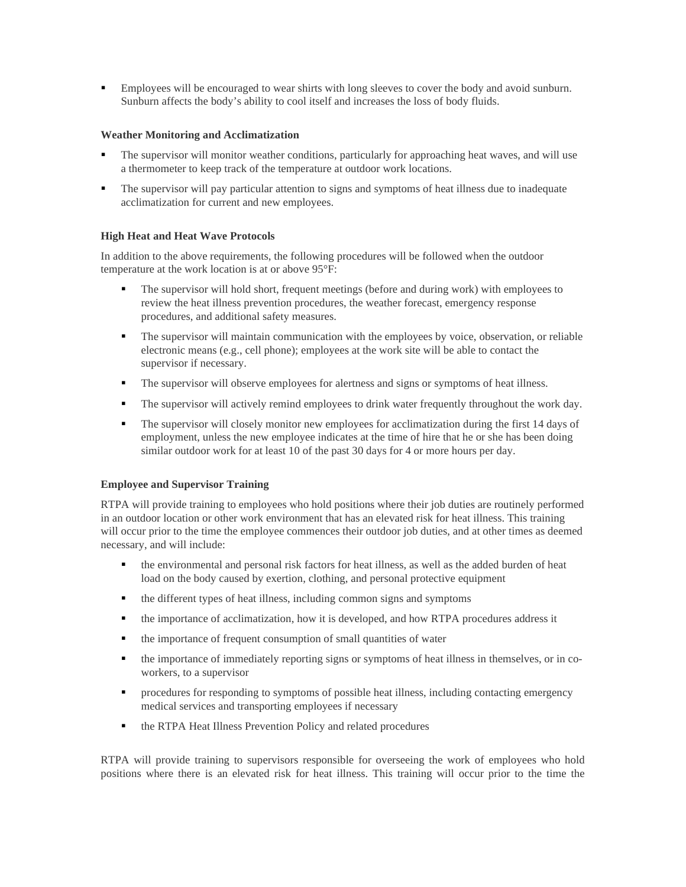Employees will be encouraged to wear shirts with long sleeves to cover the body and avoid sunburn. Sunburn affects the body's ability to cool itself and increases the loss of body fluids.

### **Weather Monitoring and Acclimatization**

- The supervisor will monitor weather conditions, particularly for approaching heat waves, and will use a thermometer to keep track of the temperature at outdoor work locations.
- The supervisor will pay particular attention to signs and symptoms of heat illness due to inadequate acclimatization for current and new employees.

#### **High Heat and Heat Wave Protocols**

In addition to the above requirements, the following procedures will be followed when the outdoor temperature at the work location is at or above 95°F:

- The supervisor will hold short, frequent meetings (before and during work) with employees to review the heat illness prevention procedures, the weather forecast, emergency response procedures, and additional safety measures.
- The supervisor will maintain communication with the employees by voice, observation, or reliable electronic means (e.g., cell phone); employees at the work site will be able to contact the supervisor if necessary.
- The supervisor will observe employees for alertness and signs or symptoms of heat illness.
- The supervisor will actively remind employees to drink water frequently throughout the work day.
- The supervisor will closely monitor new employees for acclimatization during the first 14 days of employment, unless the new employee indicates at the time of hire that he or she has been doing similar outdoor work for at least 10 of the past 30 days for 4 or more hours per day.

## **Employee and Supervisor Training**

RTPA will provide training to employees who hold positions where their job duties are routinely performed in an outdoor location or other work environment that has an elevated risk for heat illness. This training will occur prior to the time the employee commences their outdoor job duties, and at other times as deemed necessary, and will include:

- the environmental and personal risk factors for heat illness, as well as the added burden of heat load on the body caused by exertion, clothing, and personal protective equipment
- the different types of heat illness, including common signs and symptoms
- the importance of acclimatization, how it is developed, and how RTPA procedures address it
- $\blacksquare$  the importance of frequent consumption of small quantities of water
- the importance of immediately reporting signs or symptoms of heat illness in themselves, or in coworkers, to a supervisor
- **Perocedures for responding to symptoms of possible heat illness, including contacting emergency** medical services and transporting employees if necessary
- the RTPA Heat Illness Prevention Policy and related procedures

RTPA will provide training to supervisors responsible for overseeing the work of employees who hold positions where there is an elevated risk for heat illness. This training will occur prior to the time the